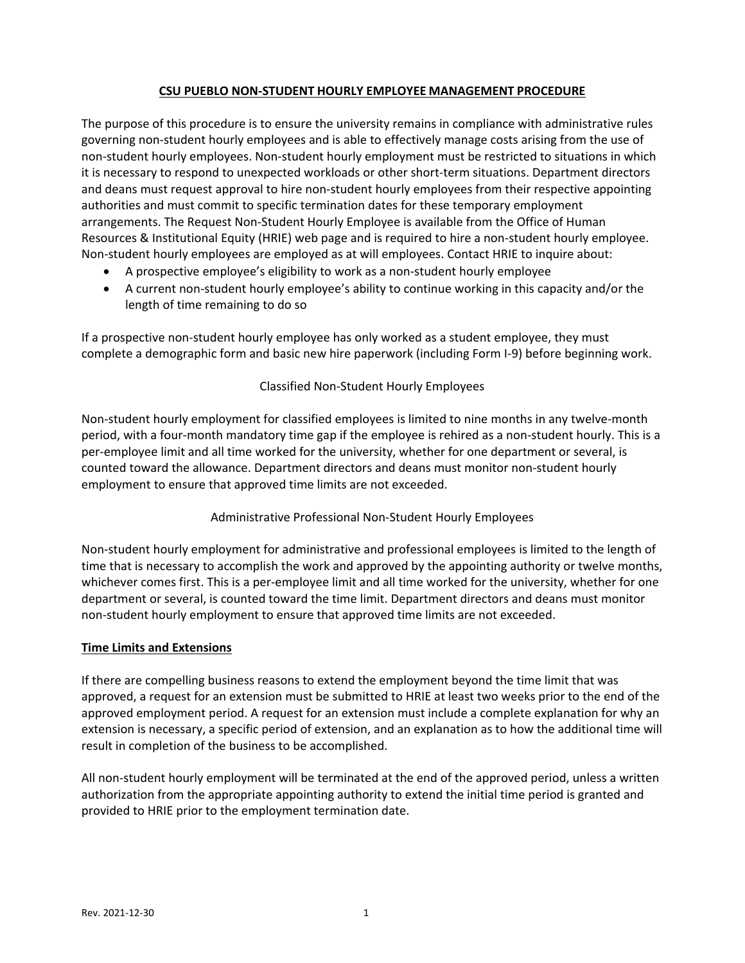## **CSU PUEBLO NON‐STUDENT HOURLY EMPLOYEE MANAGEMENT PROCEDURE**

The purpose of this procedure is to ensure the university remains in compliance with administrative rules governing non‐student hourly employees and is able to effectively manage costs arising from the use of non‐student hourly employees. Non‐student hourly employment must be restricted to situations in which it is necessary to respond to unexpected workloads or other short-term situations. Department directors and deans must request approval to hire non‐student hourly employees from their respective appointing authorities and must commit to specific termination dates for these temporary employment arrangements. The Request Non‐Student Hourly Employee is available from the Office of Human Resources & Institutional Equity (HRIE) web page and is required to hire a non‐student hourly employee. Non‐student hourly employees are employed as at will employees. Contact HRIE to inquire about:

- A prospective employee's eligibility to work as a non-student hourly employee
- A current non-student hourly employee's ability to continue working in this capacity and/or the length of time remaining to do so

If a prospective non‐student hourly employee has only worked as a student employee, they must complete a demographic form and basic new hire paperwork (including Form I‐9) before beginning work.

# Classified Non‐Student Hourly Employees

Non‐student hourly employment for classified employees is limited to nine months in any twelve‐month period, with a four‐month mandatory time gap if the employee is rehired as a non‐student hourly. This is a per‐employee limit and all time worked for the university, whether for one department or several, is counted toward the allowance. Department directors and deans must monitor non‐student hourly employment to ensure that approved time limits are not exceeded.

# Administrative Professional Non‐Student Hourly Employees

Non‐student hourly employment for administrative and professional employees is limited to the length of time that is necessary to accomplish the work and approved by the appointing authority or twelve months, whichever comes first. This is a per-employee limit and all time worked for the university, whether for one department or several, is counted toward the time limit. Department directors and deans must monitor non‐student hourly employment to ensure that approved time limits are not exceeded.

### **Time Limits and Extensions**

If there are compelling business reasons to extend the employment beyond the time limit that was approved, a request for an extension must be submitted to HRIE at least two weeks prior to the end of the approved employment period. A request for an extension must include a complete explanation for why an extension is necessary, a specific period of extension, and an explanation as to how the additional time will result in completion of the business to be accomplished.

All non-student hourly employment will be terminated at the end of the approved period, unless a written authorization from the appropriate appointing authority to extend the initial time period is granted and provided to HRIE prior to the employment termination date.